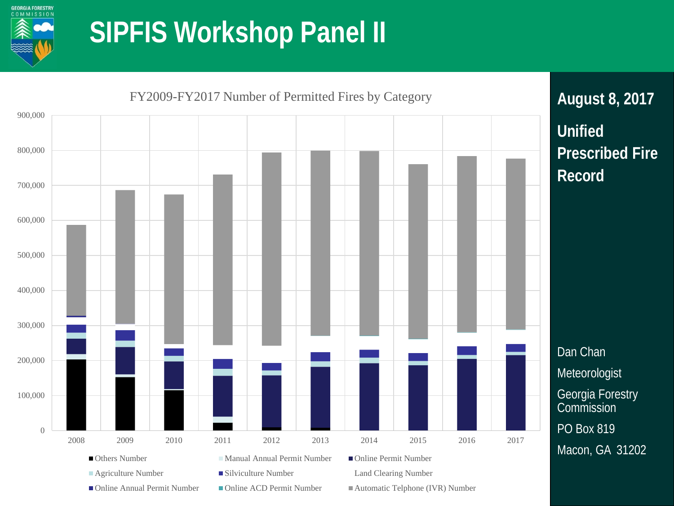

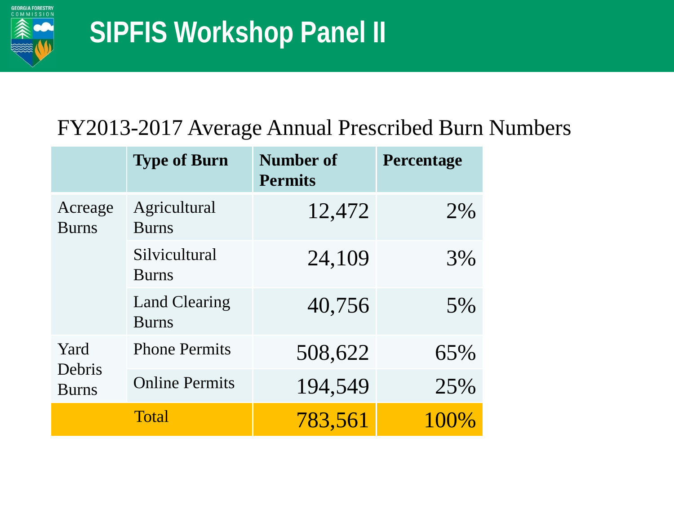

#### FY2013-2017 Average Annual Prescribed Burn Numbers

|                                | <b>Type of Burn</b>                  | <b>Number of</b><br><b>Permits</b> | Percentage |
|--------------------------------|--------------------------------------|------------------------------------|------------|
| Acreage<br><b>Burns</b>        | Agricultural<br><b>Burns</b>         | 12,472                             | 2%         |
|                                | Silvicultural<br><b>Burns</b>        | 24,109                             | 3%         |
|                                | <b>Land Clearing</b><br><b>Burns</b> | 40,756                             | 5%         |
| Yard<br>Debris<br><b>Burns</b> | <b>Phone Permits</b>                 | 508,622                            | 65%        |
|                                | <b>Online Permits</b>                | 194,549                            | 25%        |
|                                | <b>Total</b>                         | 783,561                            | $100\%$    |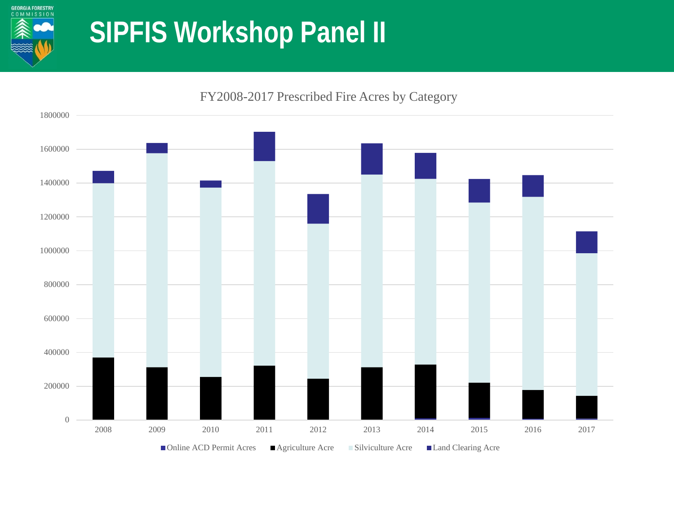

 2009 2010 2011 2012 2013 2014 2015 2016 2017 ■Online ACD Permit Acres ■ Agriculture Acre ■ Silviculture Acre ■ Land Clearing Acre

FY2008-2017 Prescribed Fire Acres by Category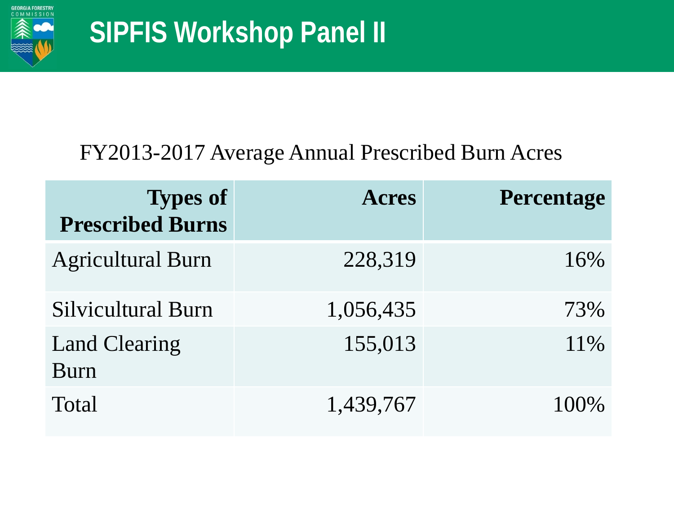

#### FY2013-2017 Average Annual Prescribed Burn Acres

| <b>Types of</b><br><b>Prescribed Burns</b> | <b>Acres</b> | <b>Percentage</b> |
|--------------------------------------------|--------------|-------------------|
| <b>Agricultural Burn</b>                   | 228,319      | 16%               |
| <b>Silvicultural Burn</b>                  | 1,056,435    | 73%               |
| <b>Land Clearing</b><br>Burn               | 155,013      | 11\%              |
| <b>Total</b>                               | 1,439,767    | $100\%$           |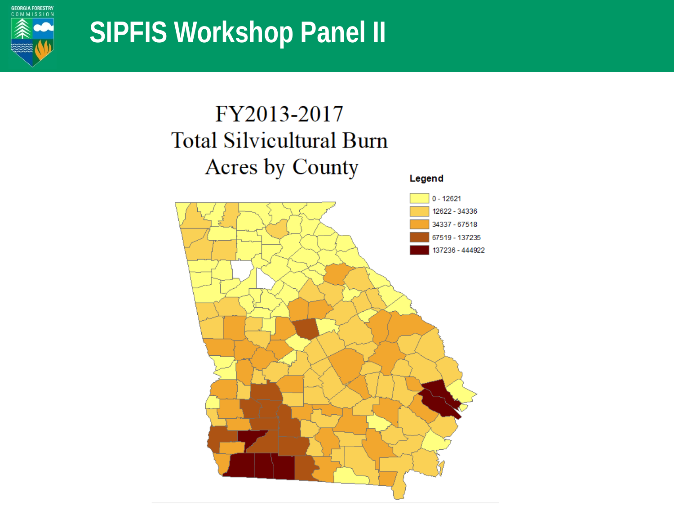

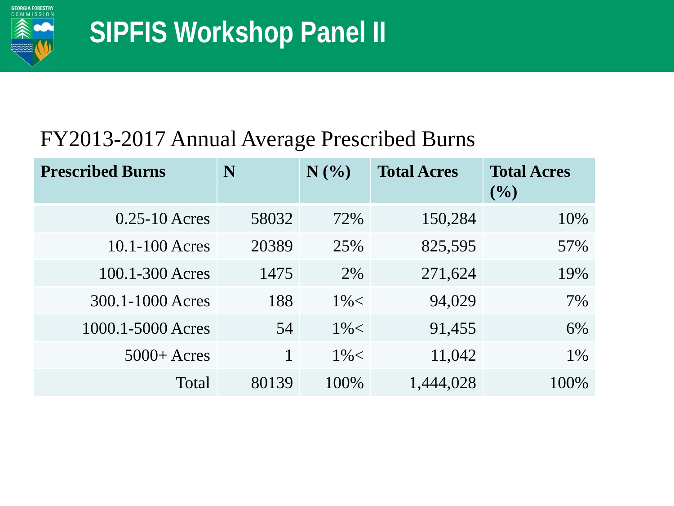

#### FY2013-2017 Annual Average Prescribed Burns

| <b>Prescribed Burns</b> | N     | N(%     | <b>Total Acres</b> | <b>Total Acres</b><br>$($ %) |
|-------------------------|-------|---------|--------------------|------------------------------|
| $0.25 - 10$ Acres       | 58032 | 72%     | 150,284            | 10%                          |
| $10.1 - 100$ Acres      | 20389 | 25%     | 825,595            | 57%                          |
| 100.1-300 Acres         | 1475  | 2%      | 271,624            | 19%                          |
| 300.1-1000 Acres        | 188   | $1\% <$ | 94,029             | 7%                           |
| 1000.1-5000 Acres       | 54    | $1\% <$ | 91,455             | 6%                           |
| $5000 +$ Acres          |       | $1\% <$ | 11,042             | 1%                           |
| Total                   | 80139 | 100%    | 1,444,028          | 100%                         |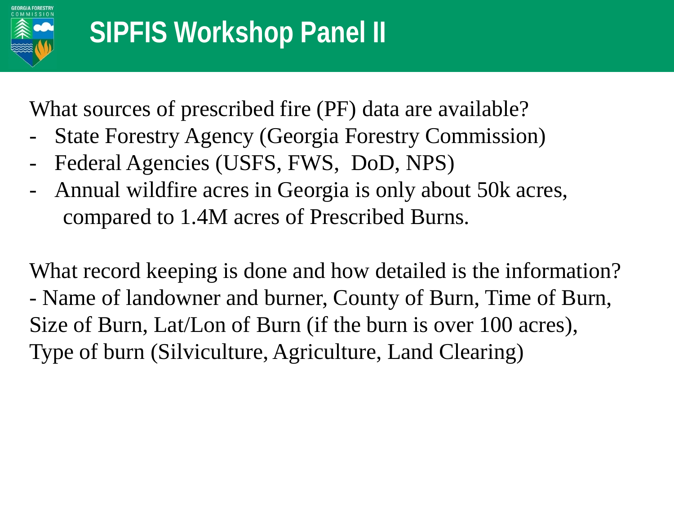

What sources of prescribed fire (PF) data are available?

- State Forestry Agency (Georgia Forestry Commission)
- Federal Agencies (USFS, FWS, DoD, NPS)
- Annual wildfire acres in Georgia is only about 50k acres, compared to 1.4M acres of Prescribed Burns.

What record keeping is done and how detailed is the information? - Name of landowner and burner, County of Burn, Time of Burn, Size of Burn, Lat/Lon of Burn (if the burn is over 100 acres), Type of burn (Silviculture, Agriculture, Land Clearing)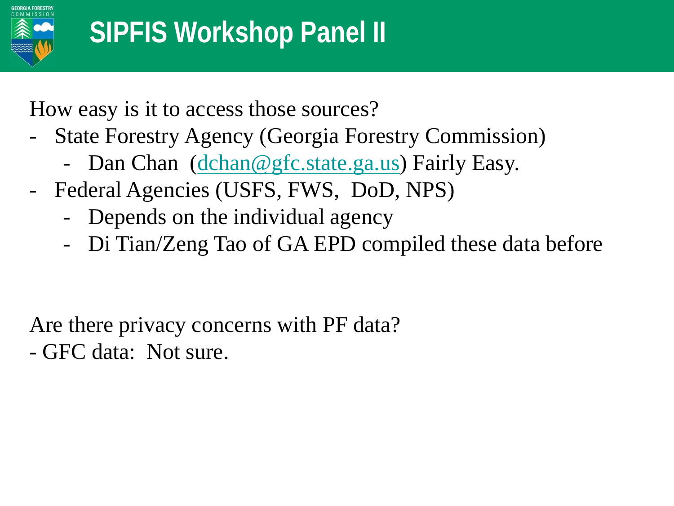

How easy is it to access those sources?

- State Forestry Agency (Georgia Forestry Commission)
	- Dan Chan ([dchan@gfc.state.ga.us](mailto:dchan@gfc.state.ga.us)) Fairly Easy.
- Federal Agencies (USFS, FWS, DoD, NPS)
	- Depends on the individual agency
	- Di Tian/Zeng Tao of GA EPD compiled these data before

Are there privacy concerns with PF data?

- GFC data: Not sure.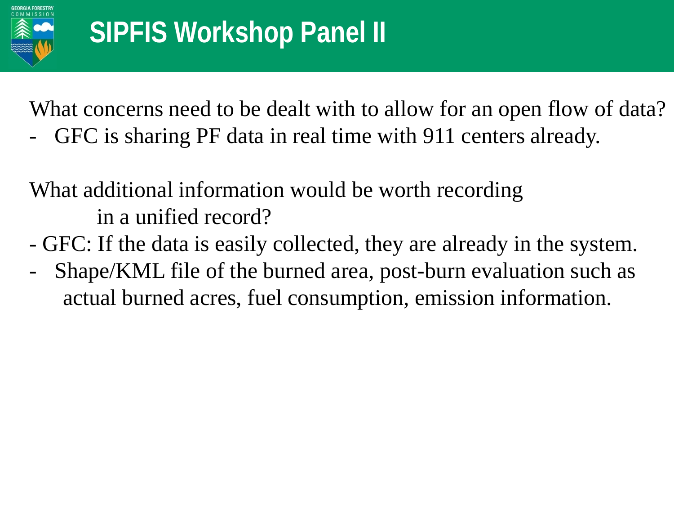

What concerns need to be dealt with to allow for an open flow of data?

GFC is sharing PF data in real time with 911 centers already.

What additional information would be worth recording in a unified record?

- GFC: If the data is easily collected, they are already in the system.
- Shape/KML file of the burned area, post-burn evaluation such as actual burned acres, fuel consumption, emission information.